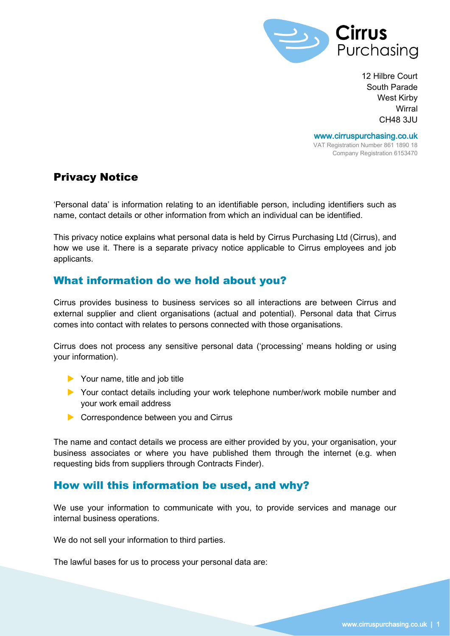

12 Hilbre Court South Parade West Kirby **Wirral** CH48 3JU

www.cirruspurchasing.co.uk VAT Registration Number 861 1890 18 Company Registration 6153470

## Privacy Notice

'Personal data' is information relating to an identifiable person, including identifiers such as name, contact details or other information from which an individual can be identified.

This privacy notice explains what personal data is held by Cirrus Purchasing Ltd (Cirrus), and how we use it. There is a separate privacy notice applicable to Cirrus employees and job applicants.

## What information do we hold about you?

Cirrus provides business to business services so all interactions are between Cirrus and external supplier and client organisations (actual and potential). Personal data that Cirrus comes into contact with relates to persons connected with those organisations.

Cirrus does not process any sensitive personal data ('processing' means holding or using your information).

- ▶ Your name, title and job title
- Your contact details including your work telephone number/work mobile number and your work email address
- Correspondence between you and Cirrus

The name and contact details we process are either provided by you, your organisation, your business associates or where you have published them through the internet (e.g. when requesting bids from suppliers through Contracts Finder).

## How will this information be used, and why?

We use your information to communicate with you, to provide services and manage our internal business operations.

We do not sell your information to third parties.

The lawful bases for us to process your personal data are: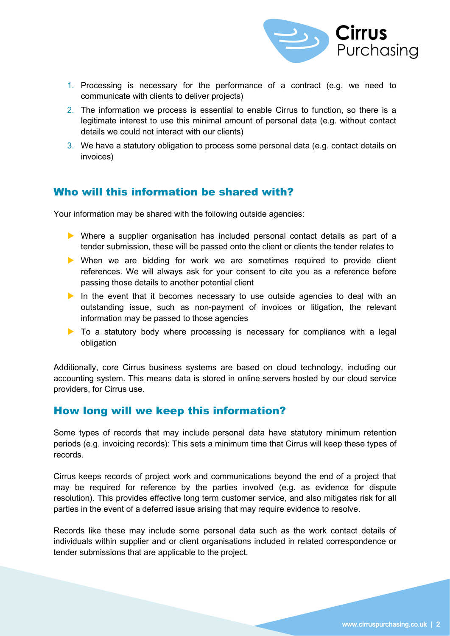

- 1. Processing is necessary for the performance of a contract (e.g. we need to communicate with clients to deliver projects)
- 2. The information we process is essential to enable Cirrus to function, so there is a legitimate interest to use this minimal amount of personal data (e.g. without contact details we could not interact with our clients)
- 3. We have a statutory obligation to process some personal data (e.g. contact details on invoices)

### Who will this information be shared with?

Your information may be shared with the following outside agencies:

- Where a supplier organisation has included personal contact details as part of a tender submission, these will be passed onto the client or clients the tender relates to
- When we are bidding for work we are sometimes required to provide client references. We will always ask for your consent to cite you as a reference before passing those details to another potential client
- In the event that it becomes necessary to use outside agencies to deal with an outstanding issue, such as non-payment of invoices or litigation, the relevant information may be passed to those agencies
- $\triangleright$  To a statutory body where processing is necessary for compliance with a legal obligation

Additionally, core Cirrus business systems are based on cloud technology, including our accounting system. This means data is stored in online servers hosted by our cloud service providers, for Cirrus use.

#### How long will we keep this information?

Some types of records that may include personal data have statutory minimum retention periods (e.g. invoicing records): This sets a minimum time that Cirrus will keep these types of records.

Cirrus keeps records of project work and communications beyond the end of a project that may be required for reference by the parties involved (e.g. as evidence for dispute resolution). This provides effective long term customer service, and also mitigates risk for all parties in the event of a deferred issue arising that may require evidence to resolve.

Records like these may include some personal data such as the work contact details of individuals within supplier and or client organisations included in related correspondence or tender submissions that are applicable to the project.